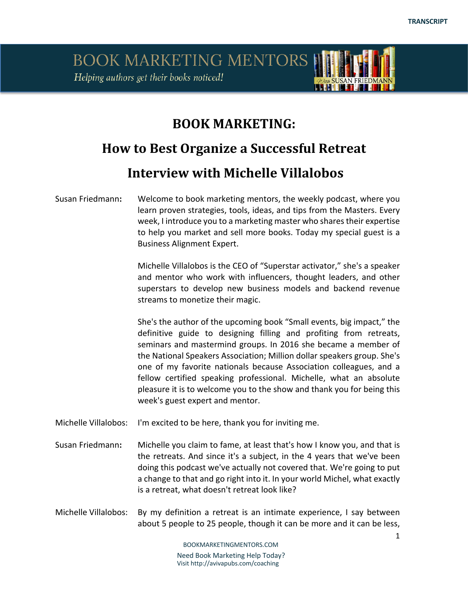### **BOOK MARKETING:**

# **How to Best Organize a Successful Retreat**

#### **Interview with Michelle Villalobos**

#### Susan Friedmann**:** Welcome to book marketing mentors, the weekly podcast, where you learn proven strategies, tools, ideas, and tips from the Masters. Every week, I introduce you to a marketing master who shares their expertise to help you market and sell more books. Today my special guest is a Business Alignment Expert.

Michelle Villalobos is the CEO of "Superstar activator," she's a speaker and mentor who work with influencers, thought leaders, and other superstars to develop new business models and backend revenue streams to monetize their magic.

She's the author of the upcoming book "Small events, big impact," the definitive guide to designing filling and profiting from retreats, seminars and mastermind groups. In 2016 she became a member of the National Speakers Association; Million dollar speakers group. She's one of my favorite nationals because Association colleagues, and a fellow certified speaking professional. Michelle, what an absolute pleasure it is to welcome you to the show and thank you for being this week's guest expert and mentor.

Michelle Villalobos: I'm excited to be here, thank you for inviting me.

- Susan Friedmann**:** Michelle you claim to fame, at least that's how I know you, and that is the retreats. And since it's a subject, in the 4 years that we've been doing this podcast we've actually not covered that. We're going to put a change to that and go right into it. In your world Michel, what exactly is a retreat, what doesn't retreat look like?
- Michelle Villalobos: By my definition a retreat is an intimate experience, I say between about 5 people to 25 people, though it can be more and it can be less,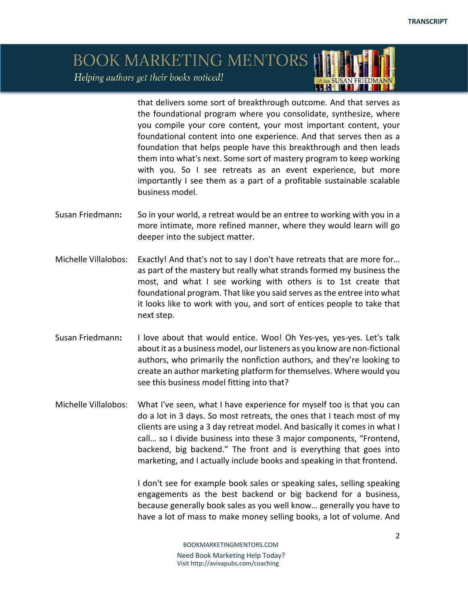that delivers some sort of breakthrough outcome. And that serves as the foundational program where you consolidate, synthesize, where you compile your core content, your most important content, your foundational content into one experience. And that serves then as a foundation that helps people have this breakthrough and then leads them into what's next. Some sort of mastery program to keep working with you. So I see retreats as an event experience, but more importantly I see them as a part of a profitable sustainable scalable business model.

**LETH ICLF** 

- Susan Friedmann**:** So in your world, a retreat would be an entree to working with you in a more intimate, more refined manner, where they would learn will go deeper into the subject matter.
- Michelle Villalobos: Exactly! And that's not to say I don't have retreats that are more for… as part of the mastery but really what strands formed my business the most, and what I see working with others is to 1st create that foundational program. That like you said serves as the entree into what it looks like to work with you, and sort of entices people to take that next step.
- Susan Friedmann**:** I love about that would entice. Woo! Oh Yes-yes, yes-yes. Let's talk about it as a business model, our listeners as you know are non-fictional authors, who primarily the nonfiction authors, and they're looking to create an author marketing platform for themselves. Where would you see this business model fitting into that?
- Michelle Villalobos: What I've seen, what I have experience for myself too is that you can do a lot in 3 days. So most retreats, the ones that I teach most of my clients are using a 3 day retreat model. And basically it comes in what I call… so I divide business into these 3 major components, "Frontend, backend, big backend." The front and is everything that goes into marketing, and I actually include books and speaking in that frontend.

I don't see for example book sales or speaking sales, selling speaking engagements as the best backend or big backend for a business, because generally book sales as you well know… generally you have to have a lot of mass to make money selling books, a lot of volume. And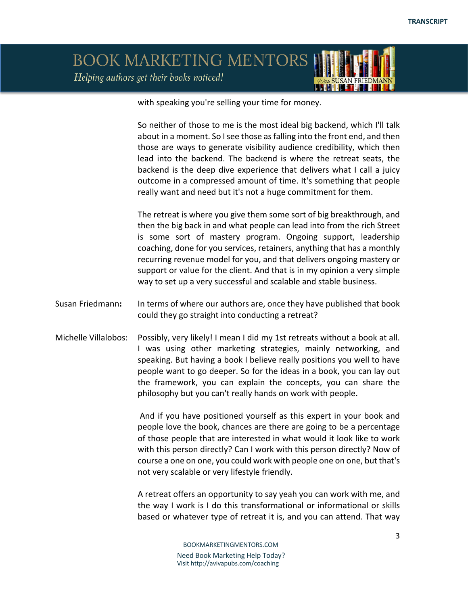with speaking you're selling your time for money.

So neither of those to me is the most ideal big backend, which I'll talk about in a moment. So I see those as falling into the front end, and then those are ways to generate visibility audience credibility, which then lead into the backend. The backend is where the retreat seats, the backend is the deep dive experience that delivers what I call a juicy outcome in a compressed amount of time. It's something that people really want and need but it's not a huge commitment for them.

The retreat is where you give them some sort of big breakthrough, and then the big back in and what people can lead into from the rich Street is some sort of mastery program. Ongoing support, leadership coaching, done for you services, retainers, anything that has a monthly recurring revenue model for you, and that delivers ongoing mastery or support or value for the client. And that is in my opinion a very simple way to set up a very successful and scalable and stable business.

- Susan Friedmann**:** In terms of where our authors are, once they have published that book could they go straight into conducting a retreat?
- Michelle Villalobos: Possibly, very likely! I mean I did my 1st retreats without a book at all. I was using other marketing strategies, mainly networking, and speaking. But having a book I believe really positions you well to have people want to go deeper. So for the ideas in a book, you can lay out the framework, you can explain the concepts, you can share the philosophy but you can't really hands on work with people.

And if you have positioned yourself as this expert in your book and people love the book, chances are there are going to be a percentage of those people that are interested in what would it look like to work with this person directly? Can I work with this person directly? Now of course a one on one, you could work with people one on one, but that's not very scalable or very lifestyle friendly.

A retreat offers an opportunity to say yeah you can work with me, and the way I work is I do this transformational or informational or skills based or whatever type of retreat it is, and you can attend. That way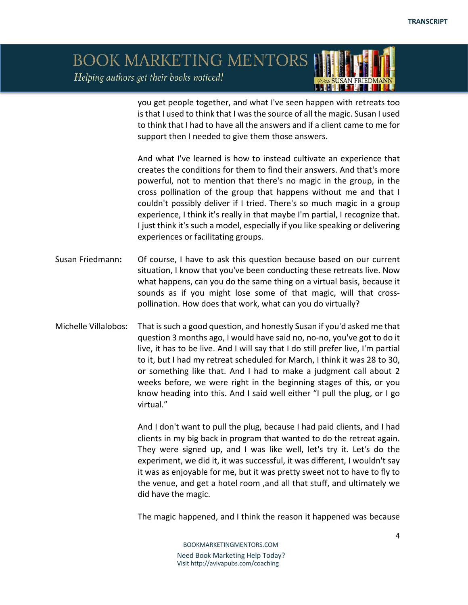

you get people together, and what I've seen happen with retreats too is that I used to think that I was the source of all the magic. Susan I used to think that I had to have all the answers and if a client came to me for support then I needed to give them those answers.

And what I've learned is how to instead cultivate an experience that creates the conditions for them to find their answers. And that's more powerful, not to mention that there's no magic in the group, in the cross pollination of the group that happens without me and that I couldn't possibly deliver if I tried. There's so much magic in a group experience, I think it's really in that maybe I'm partial, I recognize that. I just think it's such a model, especially if you like speaking or delivering experiences or facilitating groups.

- Susan Friedmann**:** Of course, I have to ask this question because based on our current situation, I know that you've been conducting these retreats live. Now what happens, can you do the same thing on a virtual basis, because it sounds as if you might lose some of that magic, will that crosspollination. How does that work, what can you do virtually?
- Michelle Villalobos: That is such a good question, and honestly Susan if you'd asked me that question 3 months ago, I would have said no, no-no, you've got to do it live, it has to be live. And I will say that I do still prefer live, I'm partial to it, but I had my retreat scheduled for March, I think it was 28 to 30, or something like that. And I had to make a judgment call about 2 weeks before, we were right in the beginning stages of this, or you know heading into this. And I said well either "I pull the plug, or I go virtual."

And I don't want to pull the plug, because I had paid clients, and I had clients in my big back in program that wanted to do the retreat again. They were signed up, and I was like well, let's try it. Let's do the experiment, we did it, it was successful, it was different, I wouldn't say it was as enjoyable for me, but it was pretty sweet not to have to fly to the venue, and get a hotel room ,and all that stuff, and ultimately we did have the magic.

The magic happened, and I think the reason it happened was because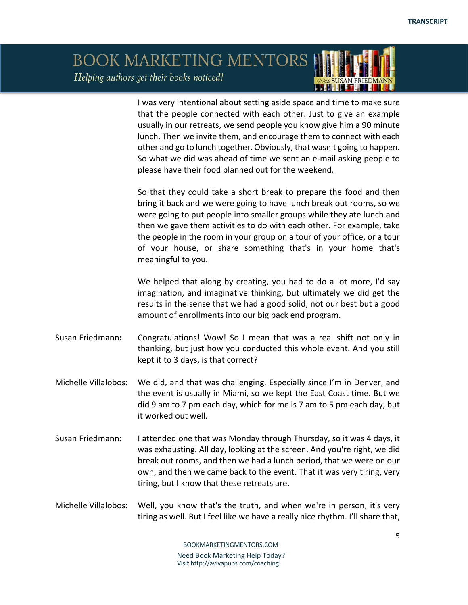#### BOOK MARKETING MENTORS Helping authors get their books noticed! ISKNA I MATTELSKA FI

I was very intentional about setting aside space and time to make sure that the people connected with each other. Just to give an example usually in our retreats, we send people you know give him a 90 minute lunch. Then we invite them, and encourage them to connect with each other and go to lunch together. Obviously, that wasn't going to happen. So what we did was ahead of time we sent an e-mail asking people to please have their food planned out for the weekend.

So that they could take a short break to prepare the food and then bring it back and we were going to have lunch break out rooms, so we were going to put people into smaller groups while they ate lunch and then we gave them activities to do with each other. For example, take the people in the room in your group on a tour of your office, or a tour of your house, or share something that's in your home that's meaningful to you.

We helped that along by creating, you had to do a lot more, I'd say imagination, and imaginative thinking, but ultimately we did get the results in the sense that we had a good solid, not our best but a good amount of enrollments into our big back end program.

- Susan Friedmann**:** Congratulations! Wow! So I mean that was a real shift not only in thanking, but just how you conducted this whole event. And you still kept it to 3 days, is that correct?
- Michelle Villalobos: We did, and that was challenging. Especially since I'm in Denver, and the event is usually in Miami, so we kept the East Coast time. But we did 9 am to 7 pm each day, which for me is 7 am to 5 pm each day, but it worked out well.
- Susan Friedmann**:** I attended one that was Monday through Thursday, so it was 4 days, it was exhausting. All day, looking at the screen. And you're right, we did break out rooms, and then we had a lunch period, that we were on our own, and then we came back to the event. That it was very tiring, very tiring, but I know that these retreats are.
- Michelle Villalobos: Well, you know that's the truth, and when we're in person, it's very tiring as well. But I feel like we have a really nice rhythm. I'll share that,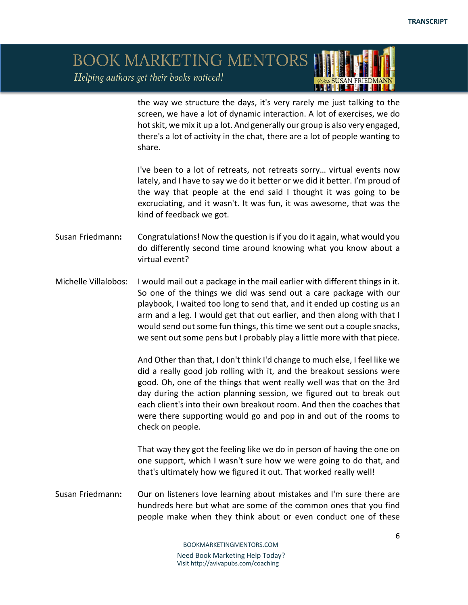the way we structure the days, it's very rarely me just talking to the screen, we have a lot of dynamic interaction. A lot of exercises, we do hot skit, we mix it up a lot. And generally our group is also very engaged, there's a lot of activity in the chat, there are a lot of people wanting to share.

<u>ISSNE MATERIAL I</u>

I've been to a lot of retreats, not retreats sorry… virtual events now lately, and I have to say we do it better or we did it better. I'm proud of the way that people at the end said I thought it was going to be excruciating, and it wasn't. It was fun, it was awesome, that was the kind of feedback we got.

Susan Friedmann**:** Congratulations! Now the question is if you do it again, what would you do differently second time around knowing what you know about a virtual event?

Michelle Villalobos: I would mail out a package in the mail earlier with different things in it. So one of the things we did was send out a care package with our playbook, I waited too long to send that, and it ended up costing us an arm and a leg. I would get that out earlier, and then along with that I would send out some fun things, this time we sent out a couple snacks, we sent out some pens but I probably play a little more with that piece.

> And Other than that, I don't think I'd change to much else, I feel like we did a really good job rolling with it, and the breakout sessions were good. Oh, one of the things that went really well was that on the 3rd day during the action planning session, we figured out to break out each client's into their own breakout room. And then the coaches that were there supporting would go and pop in and out of the rooms to check on people.

> That way they got the feeling like we do in person of having the one on one support, which I wasn't sure how we were going to do that, and that's ultimately how we figured it out. That worked really well!

Susan Friedmann**:** Our on listeners love learning about mistakes and I'm sure there are hundreds here but what are some of the common ones that you find people make when they think about or even conduct one of these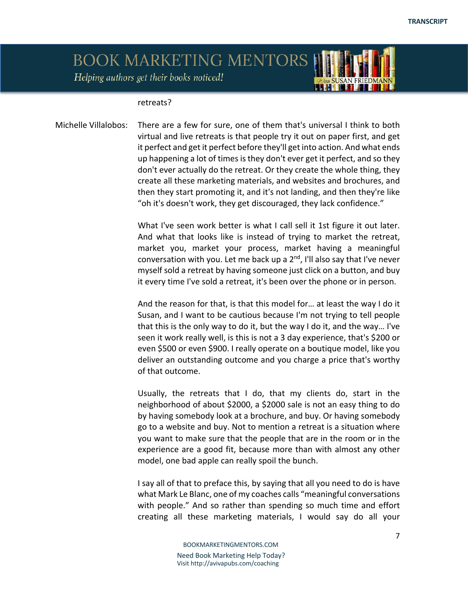# BOOK MARKETING MENTORS

Helping authors get their books noticed!

#### retreats?

Michelle Villalobos: There are a few for sure, one of them that's universal I think to both virtual and live retreats is that people try it out on paper first, and get it perfect and get it perfect before they'll get into action. And what ends up happening a lot of times is they don't ever get it perfect, and so they don't ever actually do the retreat. Or they create the whole thing, they create all these marketing materials, and websites and brochures, and then they start promoting it, and it's not landing, and then they're like "oh it's doesn't work, they get discouraged, they lack confidence."

> What I've seen work better is what I call sell it 1st figure it out later. And what that looks like is instead of trying to market the retreat, market you, market your process, market having a meaningful conversation with you. Let me back up a  $2<sup>nd</sup>$ , I'll also say that I've never myself sold a retreat by having someone just click on a button, and buy it every time I've sold a retreat, it's been over the phone or in person.

> And the reason for that, is that this model for… at least the way I do it Susan, and I want to be cautious because I'm not trying to tell people that this is the only way to do it, but the way I do it, and the way… I've seen it work really well, is this is not a 3 day experience, that's \$200 or even \$500 or even \$900. I really operate on a boutique model, like you deliver an outstanding outcome and you charge a price that's worthy of that outcome.

> Usually, the retreats that I do, that my clients do, start in the neighborhood of about \$2000, a \$2000 sale is not an easy thing to do by having somebody look at a brochure, and buy. Or having somebody go to a website and buy. Not to mention a retreat is a situation where you want to make sure that the people that are in the room or in the experience are a good fit, because more than with almost any other model, one bad apple can really spoil the bunch.

> I say all of that to preface this, by saying that all you need to do is have what Mark Le Blanc, one of my coaches calls "meaningful conversations with people." And so rather than spending so much time and effort creating all these marketing materials, I would say do all your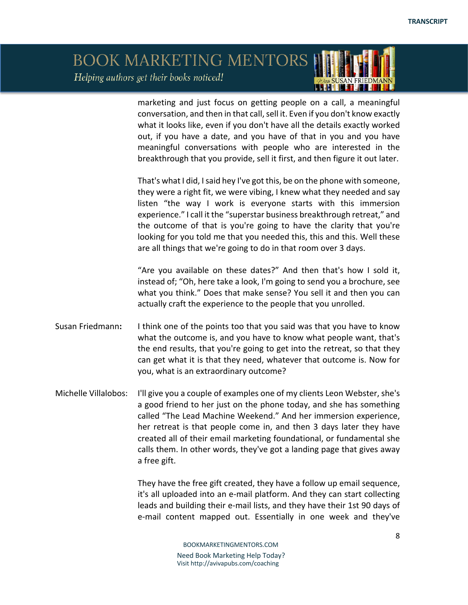#### BOOK MARKETING MENTORS Helping authors get their books noticed! <u>ISSNE MATERIAL I</u>

marketing and just focus on getting people on a call, a meaningful conversation, and then in that call, sell it. Even if you don't know exactly what it looks like, even if you don't have all the details exactly worked out, if you have a date, and you have of that in you and you have meaningful conversations with people who are interested in the breakthrough that you provide, sell it first, and then figure it out later.

That's what I did, I said hey I've got this, be on the phone with someone, they were a right fit, we were vibing, I knew what they needed and say listen "the way I work is everyone starts with this immersion experience." I call it the "superstar business breakthrough retreat," and the outcome of that is you're going to have the clarity that you're looking for you told me that you needed this, this and this. Well these are all things that we're going to do in that room over 3 days.

"Are you available on these dates?" And then that's how I sold it, instead of; "Oh, here take a look, I'm going to send you a brochure, see what you think." Does that make sense? You sell it and then you can actually craft the experience to the people that you unrolled.

- Susan Friedmann**:** I think one of the points too that you said was that you have to know what the outcome is, and you have to know what people want, that's the end results, that you're going to get into the retreat, so that they can get what it is that they need, whatever that outcome is. Now for you, what is an extraordinary outcome?
- Michelle Villalobos: I'll give you a couple of examples one of my clients Leon Webster, she's a good friend to her just on the phone today, and she has something called "The Lead Machine Weekend." And her immersion experience, her retreat is that people come in, and then 3 days later they have created all of their email marketing foundational, or fundamental she calls them. In other words, they've got a landing page that gives away a free gift.

They have the free gift created, they have a follow up email sequence, it's all uploaded into an e-mail platform. And they can start collecting leads and building their e-mail lists, and they have their 1st 90 days of e-mail content mapped out. Essentially in one week and they've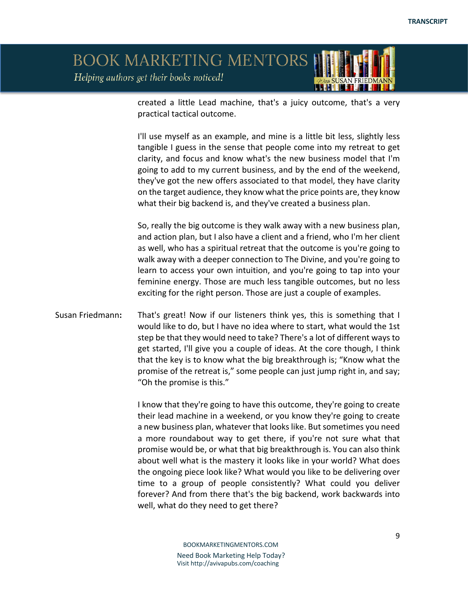created a little Lead machine, that's a juicy outcome, that's a very practical tactical outcome.

I'll use myself as an example, and mine is a little bit less, slightly less tangible I guess in the sense that people come into my retreat to get clarity, and focus and know what's the new business model that I'm going to add to my current business, and by the end of the weekend, they've got the new offers associated to that model, they have clarity on the target audience, they know what the price points are, they know what their big backend is, and they've created a business plan.

So, really the big outcome is they walk away with a new business plan, and action plan, but I also have a client and a friend, who I'm her client as well, who has a spiritual retreat that the outcome is you're going to walk away with a deeper connection to The Divine, and you're going to learn to access your own intuition, and you're going to tap into your feminine energy. Those are much less tangible outcomes, but no less exciting for the right person. Those are just a couple of examples.

Susan Friedmann**:** That's great! Now if our listeners think yes, this is something that I would like to do, but I have no idea where to start, what would the 1st step be that they would need to take? There's a lot of different ways to get started, I'll give you a couple of ideas. At the core though, I think that the key is to know what the big breakthrough is; "Know what the promise of the retreat is," some people can just jump right in, and say; "Oh the promise is this."

> I know that they're going to have this outcome, they're going to create their lead machine in a weekend, or you know they're going to create a new business plan, whatever that looks like. But sometimes you need a more roundabout way to get there, if you're not sure what that promise would be, or what that big breakthrough is. You can also think about well what is the mastery it looks like in your world? What does the ongoing piece look like? What would you like to be delivering over time to a group of people consistently? What could you deliver forever? And from there that's the big backend, work backwards into well, what do they need to get there?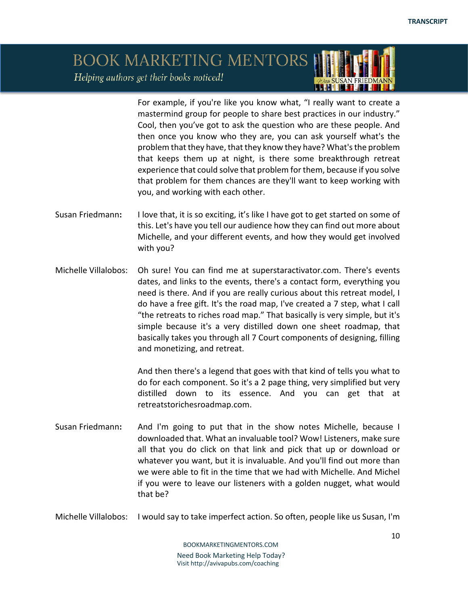For example, if you're like you know what, "I really want to create a mastermind group for people to share best practices in our industry." Cool, then you've got to ask the question who are these people. And then once you know who they are, you can ask yourself what's the problem that they have, that they know they have? What's the problem that keeps them up at night, is there some breakthrough retreat experience that could solve that problem for them, because if you solve that problem for them chances are they'll want to keep working with you, and working with each other.

- Susan Friedmann**:** I love that, it is so exciting, it's like I have got to get started on some of this. Let's have you tell our audience how they can find out more about Michelle, and your different events, and how they would get involved with you?
- Michelle Villalobos: Oh sure! You can find me at superstaractivator.com. There's events dates, and links to the events, there's a contact form, everything you need is there. And if you are really curious about this retreat model, I do have a free gift. It's the road map, I've created a 7 step, what I call "the retreats to riches road map." That basically is very simple, but it's simple because it's a very distilled down one sheet roadmap, that basically takes you through all 7 Court components of designing, filling and monetizing, and retreat.

And then there's a legend that goes with that kind of tells you what to do for each component. So it's a 2 page thing, very simplified but very distilled down to its essence. And you can get that at retreatstorichesroadmap.com.

Susan Friedmann**:** And I'm going to put that in the show notes Michelle, because I downloaded that. What an invaluable tool? Wow! Listeners, make sure all that you do click on that link and pick that up or download or whatever you want, but it is invaluable. And you'll find out more than we were able to fit in the time that we had with Michelle. And Michel if you were to leave our listeners with a golden nugget, what would that be?

Michelle Villalobos: I would say to take imperfect action. So often, people like us Susan, I'm